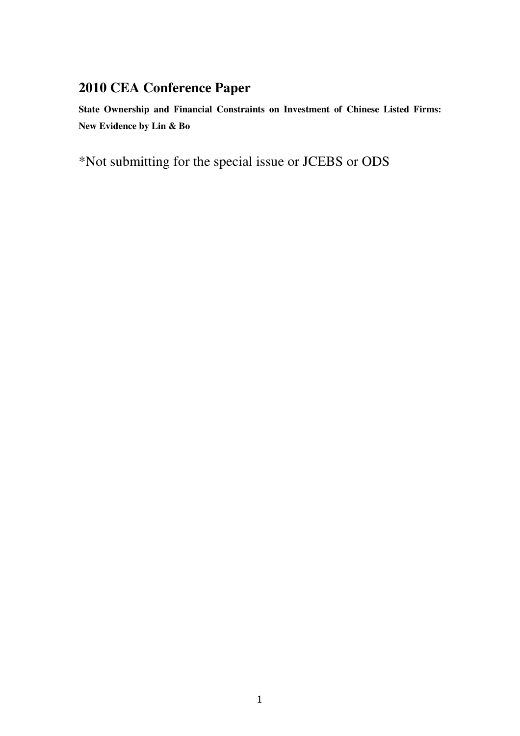# **2010 CEA Conference Paper**

**State Ownership and Financial Constraints on Investment of Chinese Listed Firms: New Evidence by Lin & Bo** 

\*Not submitting for the special issue or JCEBS or ODS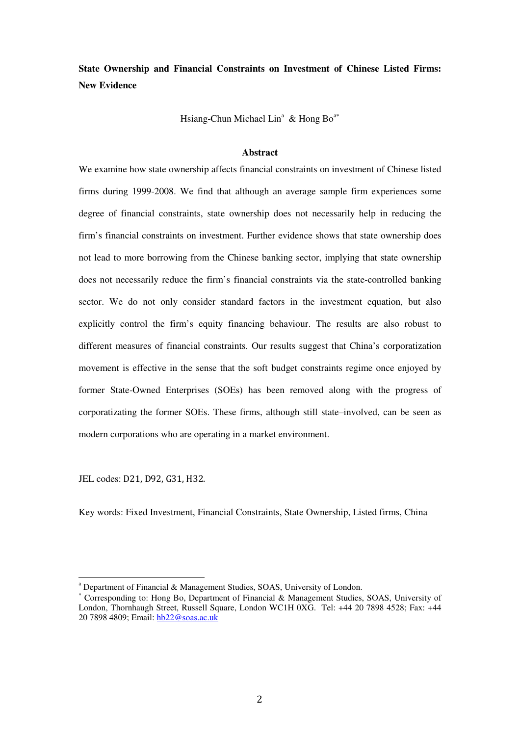**State Ownership and Financial Constraints on Investment of Chinese Listed Firms: New Evidence** 

Hsiang-Chun Michael Lin<sup>a</sup> & Hong Bo<sup>a\*</sup>

## **Abstract**

We examine how state ownership affects financial constraints on investment of Chinese listed firms during 1999-2008. We find that although an average sample firm experiences some degree of financial constraints, state ownership does not necessarily help in reducing the firm's financial constraints on investment. Further evidence shows that state ownership does not lead to more borrowing from the Chinese banking sector, implying that state ownership does not necessarily reduce the firm's financial constraints via the state-controlled banking sector. We do not only consider standard factors in the investment equation, but also explicitly control the firm's equity financing behaviour. The results are also robust to different measures of financial constraints. Our results suggest that China's corporatization movement is effective in the sense that the soft budget constraints regime once enjoyed by former State-Owned Enterprises (SOEs) has been removed along with the progress of corporatizating the former SOEs. These firms, although still state–involved, can be seen as modern corporations who are operating in a market environment.

JEL codes: D21, D92, G31, H32.

l

Key words: Fixed Investment, Financial Constraints, State Ownership, Listed firms, China

<sup>&</sup>lt;sup>a</sup> Department of Financial & Management Studies, SOAS, University of London.

<sup>∗</sup> Corresponding to: Hong Bo, Department of Financial & Management Studies, SOAS, University of London, Thornhaugh Street, Russell Square, London WC1H 0XG. Tel: +44 20 7898 4528; Fax: +44 20 7898 4809; Email: hb22@soas.ac.uk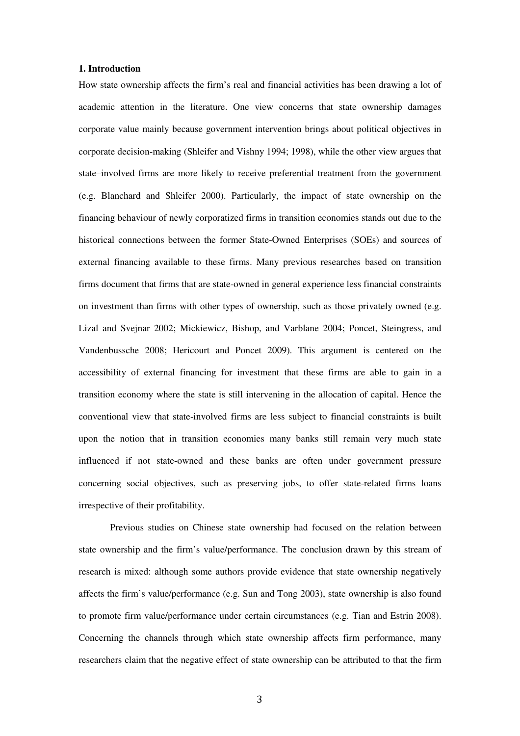#### **1. Introduction**

How state ownership affects the firm's real and financial activities has been drawing a lot of academic attention in the literature. One view concerns that state ownership damages corporate value mainly because government intervention brings about political objectives in corporate decision-making (Shleifer and Vishny 1994; 1998), while the other view argues that state–involved firms are more likely to receive preferential treatment from the government (e.g. Blanchard and Shleifer 2000). Particularly, the impact of state ownership on the financing behaviour of newly corporatized firms in transition economies stands out due to the historical connections between the former State-Owned Enterprises (SOEs) and sources of external financing available to these firms. Many previous researches based on transition firms document that firms that are state-owned in general experience less financial constraints on investment than firms with other types of ownership, such as those privately owned (e.g. Lizal and Svejnar 2002; Mickiewicz, Bishop, and Varblane 2004; Poncet, Steingress, and Vandenbussche 2008; Hericourt and Poncet 2009). This argument is centered on the accessibility of external financing for investment that these firms are able to gain in a transition economy where the state is still intervening in the allocation of capital. Hence the conventional view that state-involved firms are less subject to financial constraints is built upon the notion that in transition economies many banks still remain very much state influenced if not state-owned and these banks are often under government pressure concerning social objectives, such as preserving jobs, to offer state-related firms loans irrespective of their profitability.

Previous studies on Chinese state ownership had focused on the relation between state ownership and the firm's value/performance. The conclusion drawn by this stream of research is mixed: although some authors provide evidence that state ownership negatively affects the firm's value/performance (e.g. Sun and Tong 2003), state ownership is also found to promote firm value/performance under certain circumstances (e.g. Tian and Estrin 2008). Concerning the channels through which state ownership affects firm performance, many researchers claim that the negative effect of state ownership can be attributed to that the firm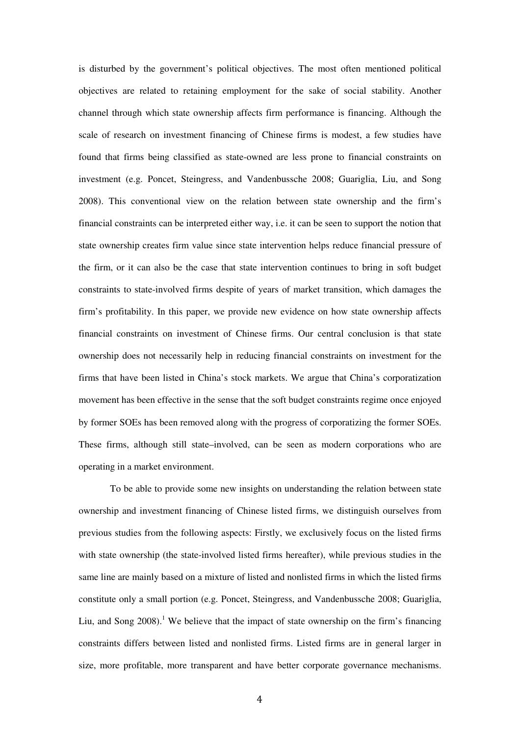is disturbed by the government's political objectives. The most often mentioned political objectives are related to retaining employment for the sake of social stability. Another channel through which state ownership affects firm performance is financing. Although the scale of research on investment financing of Chinese firms is modest, a few studies have found that firms being classified as state-owned are less prone to financial constraints on investment (e.g. Poncet, Steingress, and Vandenbussche 2008; Guariglia, Liu, and Song 2008). This conventional view on the relation between state ownership and the firm's financial constraints can be interpreted either way, i.e. it can be seen to support the notion that state ownership creates firm value since state intervention helps reduce financial pressure of the firm, or it can also be the case that state intervention continues to bring in soft budget constraints to state-involved firms despite of years of market transition, which damages the firm's profitability. In this paper, we provide new evidence on how state ownership affects financial constraints on investment of Chinese firms. Our central conclusion is that state ownership does not necessarily help in reducing financial constraints on investment for the firms that have been listed in China's stock markets. We argue that China's corporatization movement has been effective in the sense that the soft budget constraints regime once enjoyed by former SOEs has been removed along with the progress of corporatizing the former SOEs. These firms, although still state–involved, can be seen as modern corporations who are operating in a market environment.

To be able to provide some new insights on understanding the relation between state ownership and investment financing of Chinese listed firms, we distinguish ourselves from previous studies from the following aspects: Firstly, we exclusively focus on the listed firms with state ownership (the state-involved listed firms hereafter), while previous studies in the same line are mainly based on a mixture of listed and nonlisted firms in which the listed firms constitute only a small portion (e.g. Poncet, Steingress, and Vandenbussche 2008; Guariglia, Liu, and Song  $2008$ <sup>1</sup>. We believe that the impact of state ownership on the firm's financing constraints differs between listed and nonlisted firms. Listed firms are in general larger in size, more profitable, more transparent and have better corporate governance mechanisms.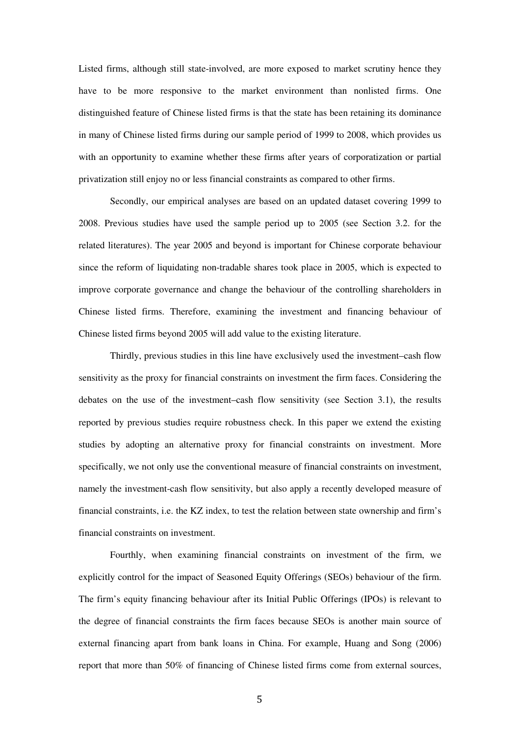Listed firms, although still state-involved, are more exposed to market scrutiny hence they have to be more responsive to the market environment than nonlisted firms. One distinguished feature of Chinese listed firms is that the state has been retaining its dominance in many of Chinese listed firms during our sample period of 1999 to 2008, which provides us with an opportunity to examine whether these firms after years of corporatization or partial privatization still enjoy no or less financial constraints as compared to other firms.

Secondly, our empirical analyses are based on an updated dataset covering 1999 to 2008. Previous studies have used the sample period up to 2005 (see Section 3.2. for the related literatures). The year 2005 and beyond is important for Chinese corporate behaviour since the reform of liquidating non-tradable shares took place in 2005, which is expected to improve corporate governance and change the behaviour of the controlling shareholders in Chinese listed firms. Therefore, examining the investment and financing behaviour of Chinese listed firms beyond 2005 will add value to the existing literature.

Thirdly, previous studies in this line have exclusively used the investment–cash flow sensitivity as the proxy for financial constraints on investment the firm faces. Considering the debates on the use of the investment–cash flow sensitivity (see Section 3.1), the results reported by previous studies require robustness check. In this paper we extend the existing studies by adopting an alternative proxy for financial constraints on investment. More specifically, we not only use the conventional measure of financial constraints on investment, namely the investment-cash flow sensitivity, but also apply a recently developed measure of financial constraints, i.e. the KZ index, to test the relation between state ownership and firm's financial constraints on investment.

Fourthly, when examining financial constraints on investment of the firm, we explicitly control for the impact of Seasoned Equity Offerings (SEOs) behaviour of the firm. The firm's equity financing behaviour after its Initial Public Offerings (IPOs) is relevant to the degree of financial constraints the firm faces because SEOs is another main source of external financing apart from bank loans in China. For example, Huang and Song (2006) report that more than 50% of financing of Chinese listed firms come from external sources,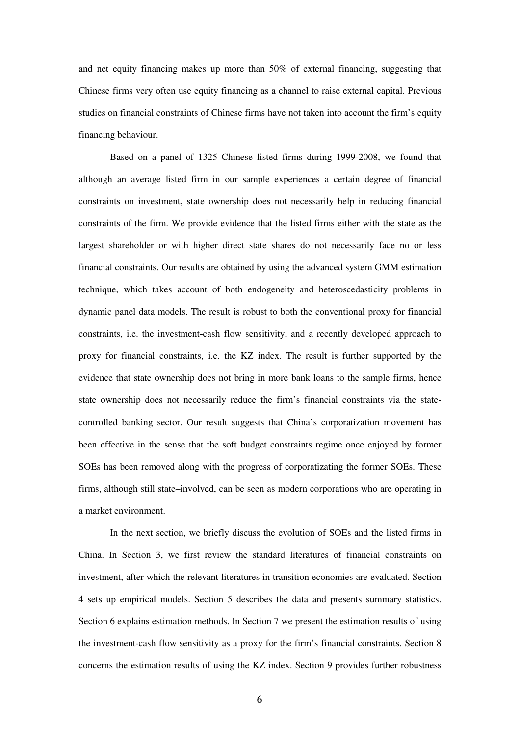and net equity financing makes up more than 50% of external financing, suggesting that Chinese firms very often use equity financing as a channel to raise external capital. Previous studies on financial constraints of Chinese firms have not taken into account the firm's equity financing behaviour.

Based on a panel of 1325 Chinese listed firms during 1999-2008, we found that although an average listed firm in our sample experiences a certain degree of financial constraints on investment, state ownership does not necessarily help in reducing financial constraints of the firm. We provide evidence that the listed firms either with the state as the largest shareholder or with higher direct state shares do not necessarily face no or less financial constraints. Our results are obtained by using the advanced system GMM estimation technique, which takes account of both endogeneity and heteroscedasticity problems in dynamic panel data models. The result is robust to both the conventional proxy for financial constraints, i.e. the investment-cash flow sensitivity, and a recently developed approach to proxy for financial constraints, i.e. the KZ index. The result is further supported by the evidence that state ownership does not bring in more bank loans to the sample firms, hence state ownership does not necessarily reduce the firm's financial constraints via the statecontrolled banking sector. Our result suggests that China's corporatization movement has been effective in the sense that the soft budget constraints regime once enjoyed by former SOEs has been removed along with the progress of corporatizating the former SOEs. These firms, although still state–involved, can be seen as modern corporations who are operating in a market environment.

In the next section, we briefly discuss the evolution of SOEs and the listed firms in China. In Section 3, we first review the standard literatures of financial constraints on investment, after which the relevant literatures in transition economies are evaluated. Section 4 sets up empirical models. Section 5 describes the data and presents summary statistics. Section 6 explains estimation methods. In Section 7 we present the estimation results of using the investment-cash flow sensitivity as a proxy for the firm's financial constraints. Section 8 concerns the estimation results of using the KZ index. Section 9 provides further robustness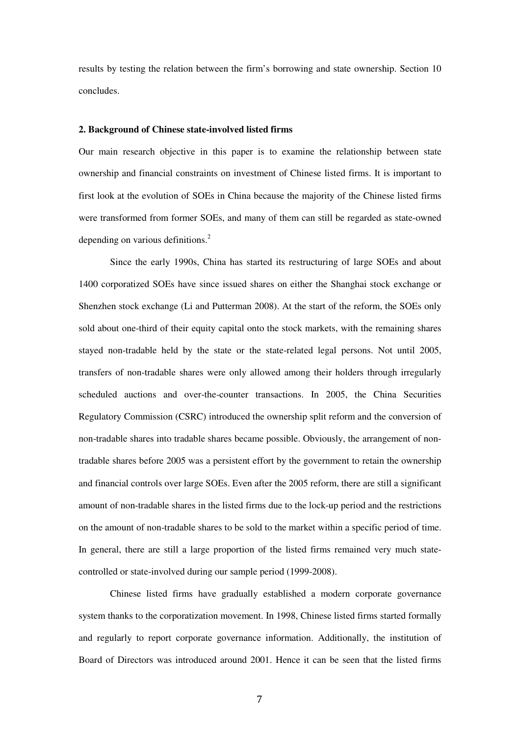results by testing the relation between the firm's borrowing and state ownership. Section 10 concludes.

#### **2. Background of Chinese state-involved listed firms**

Our main research objective in this paper is to examine the relationship between state ownership and financial constraints on investment of Chinese listed firms. It is important to first look at the evolution of SOEs in China because the majority of the Chinese listed firms were transformed from former SOEs, and many of them can still be regarded as state-owned depending on various definitions.<sup>2</sup>

Since the early 1990s, China has started its restructuring of large SOEs and about 1400 corporatized SOEs have since issued shares on either the Shanghai stock exchange or Shenzhen stock exchange (Li and Putterman 2008). At the start of the reform, the SOEs only sold about one-third of their equity capital onto the stock markets, with the remaining shares stayed non-tradable held by the state or the state-related legal persons. Not until 2005, transfers of non-tradable shares were only allowed among their holders through irregularly scheduled auctions and over-the-counter transactions. In 2005, the China Securities Regulatory Commission (CSRC) introduced the ownership split reform and the conversion of non-tradable shares into tradable shares became possible. Obviously, the arrangement of nontradable shares before 2005 was a persistent effort by the government to retain the ownership and financial controls over large SOEs. Even after the 2005 reform, there are still a significant amount of non-tradable shares in the listed firms due to the lock-up period and the restrictions on the amount of non-tradable shares to be sold to the market within a specific period of time. In general, there are still a large proportion of the listed firms remained very much statecontrolled or state-involved during our sample period (1999-2008).

Chinese listed firms have gradually established a modern corporate governance system thanks to the corporatization movement. In 1998, Chinese listed firms started formally and regularly to report corporate governance information. Additionally, the institution of Board of Directors was introduced around 2001. Hence it can be seen that the listed firms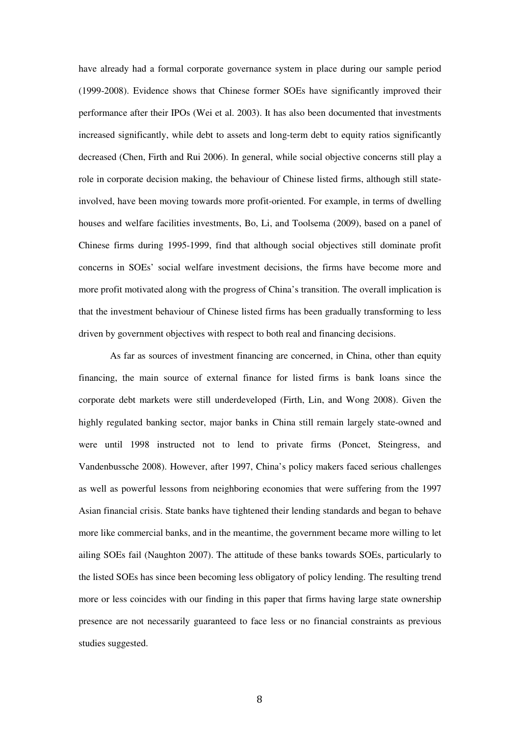have already had a formal corporate governance system in place during our sample period (1999-2008). Evidence shows that Chinese former SOEs have significantly improved their performance after their IPOs (Wei et al. 2003). It has also been documented that investments increased significantly, while debt to assets and long-term debt to equity ratios significantly decreased (Chen, Firth and Rui 2006). In general, while social objective concerns still play a role in corporate decision making, the behaviour of Chinese listed firms, although still stateinvolved, have been moving towards more profit-oriented. For example, in terms of dwelling houses and welfare facilities investments, Bo, Li, and Toolsema (2009), based on a panel of Chinese firms during 1995-1999, find that although social objectives still dominate profit concerns in SOEs' social welfare investment decisions, the firms have become more and more profit motivated along with the progress of China's transition. The overall implication is that the investment behaviour of Chinese listed firms has been gradually transforming to less driven by government objectives with respect to both real and financing decisions.

As far as sources of investment financing are concerned, in China, other than equity financing, the main source of external finance for listed firms is bank loans since the corporate debt markets were still underdeveloped (Firth, Lin, and Wong 2008). Given the highly regulated banking sector, major banks in China still remain largely state-owned and were until 1998 instructed not to lend to private firms (Poncet, Steingress, and Vandenbussche 2008). However, after 1997, China's policy makers faced serious challenges as well as powerful lessons from neighboring economies that were suffering from the 1997 Asian financial crisis. State banks have tightened their lending standards and began to behave more like commercial banks, and in the meantime, the government became more willing to let ailing SOEs fail (Naughton 2007). The attitude of these banks towards SOEs, particularly to the listed SOEs has since been becoming less obligatory of policy lending. The resulting trend more or less coincides with our finding in this paper that firms having large state ownership presence are not necessarily guaranteed to face less or no financial constraints as previous studies suggested.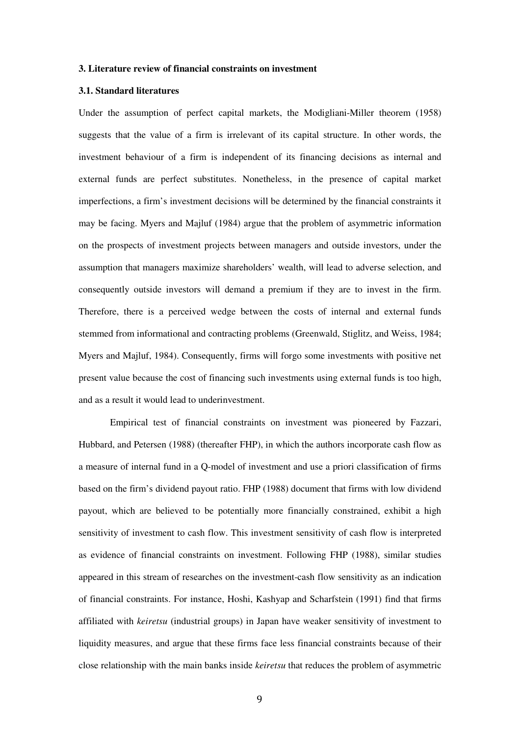#### **3. Literature review of financial constraints on investment**

## **3.1. Standard literatures**

Under the assumption of perfect capital markets, the Modigliani-Miller theorem (1958) suggests that the value of a firm is irrelevant of its capital structure. In other words, the investment behaviour of a firm is independent of its financing decisions as internal and external funds are perfect substitutes. Nonetheless, in the presence of capital market imperfections, a firm's investment decisions will be determined by the financial constraints it may be facing. Myers and Majluf (1984) argue that the problem of asymmetric information on the prospects of investment projects between managers and outside investors, under the assumption that managers maximize shareholders' wealth, will lead to adverse selection, and consequently outside investors will demand a premium if they are to invest in the firm. Therefore, there is a perceived wedge between the costs of internal and external funds stemmed from informational and contracting problems (Greenwald, Stiglitz, and Weiss, 1984; Myers and Majluf, 1984). Consequently, firms will forgo some investments with positive net present value because the cost of financing such investments using external funds is too high, and as a result it would lead to underinvestment.

Empirical test of financial constraints on investment was pioneered by Fazzari, Hubbard, and Petersen (1988) (thereafter FHP), in which the authors incorporate cash flow as a measure of internal fund in a Q-model of investment and use a priori classification of firms based on the firm's dividend payout ratio. FHP (1988) document that firms with low dividend payout, which are believed to be potentially more financially constrained, exhibit a high sensitivity of investment to cash flow. This investment sensitivity of cash flow is interpreted as evidence of financial constraints on investment. Following FHP (1988), similar studies appeared in this stream of researches on the investment-cash flow sensitivity as an indication of financial constraints. For instance, Hoshi, Kashyap and Scharfstein (1991) find that firms affiliated with *keiretsu* (industrial groups) in Japan have weaker sensitivity of investment to liquidity measures, and argue that these firms face less financial constraints because of their close relationship with the main banks inside *keiretsu* that reduces the problem of asymmetric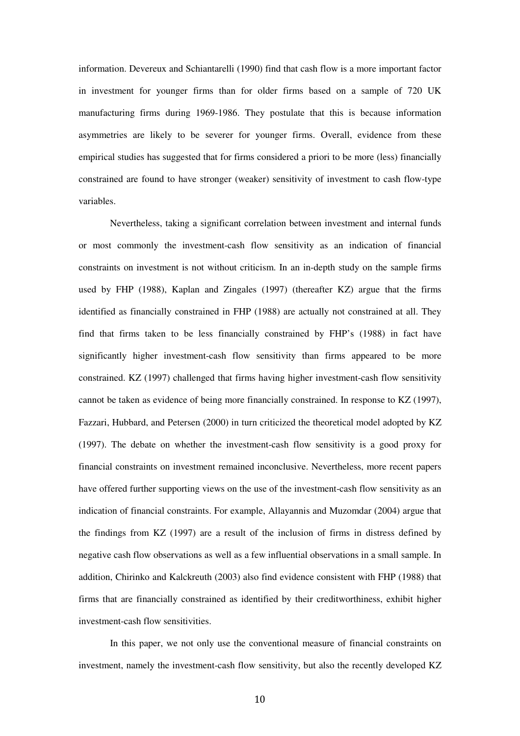information. Devereux and Schiantarelli (1990) find that cash flow is a more important factor in investment for younger firms than for older firms based on a sample of 720 UK manufacturing firms during 1969-1986. They postulate that this is because information asymmetries are likely to be severer for younger firms. Overall, evidence from these empirical studies has suggested that for firms considered a priori to be more (less) financially constrained are found to have stronger (weaker) sensitivity of investment to cash flow-type variables.

Nevertheless, taking a significant correlation between investment and internal funds or most commonly the investment-cash flow sensitivity as an indication of financial constraints on investment is not without criticism. In an in-depth study on the sample firms used by FHP (1988), Kaplan and Zingales (1997) (thereafter KZ) argue that the firms identified as financially constrained in FHP (1988) are actually not constrained at all. They find that firms taken to be less financially constrained by FHP's (1988) in fact have significantly higher investment-cash flow sensitivity than firms appeared to be more constrained. KZ (1997) challenged that firms having higher investment-cash flow sensitivity cannot be taken as evidence of being more financially constrained. In response to KZ (1997), Fazzari, Hubbard, and Petersen (2000) in turn criticized the theoretical model adopted by KZ (1997). The debate on whether the investment-cash flow sensitivity is a good proxy for financial constraints on investment remained inconclusive. Nevertheless, more recent papers have offered further supporting views on the use of the investment-cash flow sensitivity as an indication of financial constraints. For example, Allayannis and Muzomdar (2004) argue that the findings from KZ (1997) are a result of the inclusion of firms in distress defined by negative cash flow observations as well as a few influential observations in a small sample. In addition, Chirinko and Kalckreuth (2003) also find evidence consistent with FHP (1988) that firms that are financially constrained as identified by their creditworthiness, exhibit higher investment-cash flow sensitivities.

In this paper, we not only use the conventional measure of financial constraints on investment, namely the investment-cash flow sensitivity, but also the recently developed KZ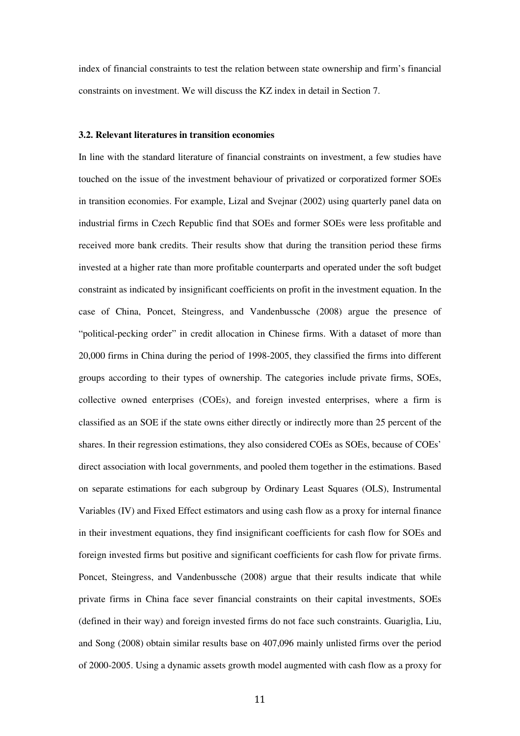index of financial constraints to test the relation between state ownership and firm's financial constraints on investment. We will discuss the KZ index in detail in Section 7.

#### **3.2. Relevant literatures in transition economies**

In line with the standard literature of financial constraints on investment, a few studies have touched on the issue of the investment behaviour of privatized or corporatized former SOEs in transition economies. For example, Lizal and Svejnar (2002) using quarterly panel data on industrial firms in Czech Republic find that SOEs and former SOEs were less profitable and received more bank credits. Their results show that during the transition period these firms invested at a higher rate than more profitable counterparts and operated under the soft budget constraint as indicated by insignificant coefficients on profit in the investment equation. In the case of China, Poncet, Steingress, and Vandenbussche (2008) argue the presence of "political-pecking order" in credit allocation in Chinese firms. With a dataset of more than 20,000 firms in China during the period of 1998-2005, they classified the firms into different groups according to their types of ownership. The categories include private firms, SOEs, collective owned enterprises (COEs), and foreign invested enterprises, where a firm is classified as an SOE if the state owns either directly or indirectly more than 25 percent of the shares. In their regression estimations, they also considered COEs as SOEs, because of COEs' direct association with local governments, and pooled them together in the estimations. Based on separate estimations for each subgroup by Ordinary Least Squares (OLS), Instrumental Variables (IV) and Fixed Effect estimators and using cash flow as a proxy for internal finance in their investment equations, they find insignificant coefficients for cash flow for SOEs and foreign invested firms but positive and significant coefficients for cash flow for private firms. Poncet, Steingress, and Vandenbussche (2008) argue that their results indicate that while private firms in China face sever financial constraints on their capital investments, SOEs (defined in their way) and foreign invested firms do not face such constraints. Guariglia, Liu, and Song (2008) obtain similar results base on 407,096 mainly unlisted firms over the period of 2000-2005. Using a dynamic assets growth model augmented with cash flow as a proxy for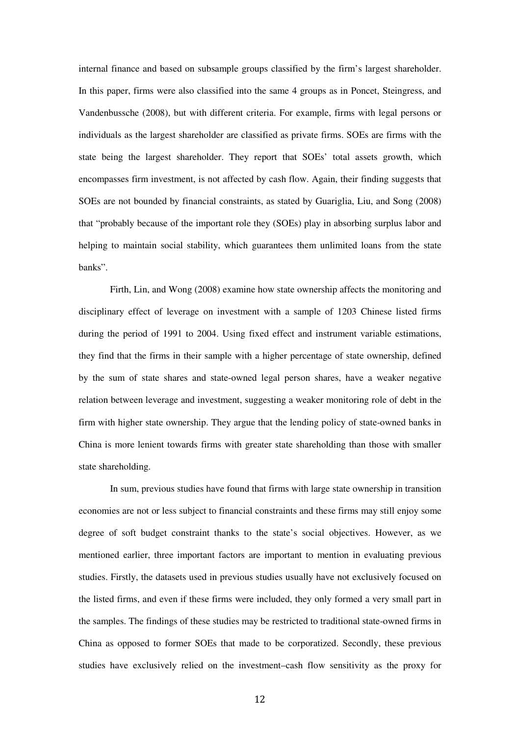internal finance and based on subsample groups classified by the firm's largest shareholder. In this paper, firms were also classified into the same 4 groups as in Poncet, Steingress, and Vandenbussche (2008), but with different criteria. For example, firms with legal persons or individuals as the largest shareholder are classified as private firms. SOEs are firms with the state being the largest shareholder. They report that SOEs' total assets growth, which encompasses firm investment, is not affected by cash flow. Again, their finding suggests that SOEs are not bounded by financial constraints, as stated by Guariglia, Liu, and Song (2008) that "probably because of the important role they (SOEs) play in absorbing surplus labor and helping to maintain social stability, which guarantees them unlimited loans from the state banks".

Firth, Lin, and Wong (2008) examine how state ownership affects the monitoring and disciplinary effect of leverage on investment with a sample of 1203 Chinese listed firms during the period of 1991 to 2004. Using fixed effect and instrument variable estimations, they find that the firms in their sample with a higher percentage of state ownership, defined by the sum of state shares and state-owned legal person shares, have a weaker negative relation between leverage and investment, suggesting a weaker monitoring role of debt in the firm with higher state ownership. They argue that the lending policy of state-owned banks in China is more lenient towards firms with greater state shareholding than those with smaller state shareholding.

In sum, previous studies have found that firms with large state ownership in transition economies are not or less subject to financial constraints and these firms may still enjoy some degree of soft budget constraint thanks to the state's social objectives. However, as we mentioned earlier, three important factors are important to mention in evaluating previous studies. Firstly, the datasets used in previous studies usually have not exclusively focused on the listed firms, and even if these firms were included, they only formed a very small part in the samples. The findings of these studies may be restricted to traditional state-owned firms in China as opposed to former SOEs that made to be corporatized. Secondly, these previous studies have exclusively relied on the investment–cash flow sensitivity as the proxy for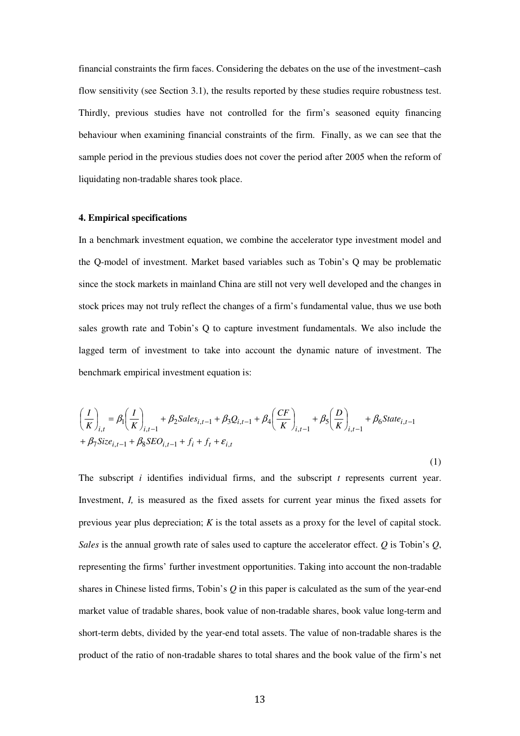financial constraints the firm faces. Considering the debates on the use of the investment–cash flow sensitivity (see Section 3.1), the results reported by these studies require robustness test. Thirdly, previous studies have not controlled for the firm's seasoned equity financing behaviour when examining financial constraints of the firm. Finally, as we can see that the sample period in the previous studies does not cover the period after 2005 when the reform of liquidating non-tradable shares took place.

## **4. Empirical specifications**

In a benchmark investment equation, we combine the accelerator type investment model and the Q-model of investment. Market based variables such as Tobin's Q may be problematic since the stock markets in mainland China are still not very well developed and the changes in stock prices may not truly reflect the changes of a firm's fundamental value, thus we use both sales growth rate and Tobin's Q to capture investment fundamentals. We also include the lagged term of investment to take into account the dynamic nature of investment. The benchmark empirical investment equation is:

$$
\left(\frac{I}{K}\right)_{i,t} = \beta_1 \left(\frac{I}{K}\right)_{i,t-1} + \beta_2 Sales_{i,t-1} + \beta_3 Q_{i,t-1} + \beta_4 \left(\frac{CF}{K}\right)_{i,t-1} + \beta_5 \left(\frac{D}{K}\right)_{i,t-1} + \beta_6 State_{i,t-1}
$$
  
+  $\beta_7 Size_{i,t-1} + \beta_8 SEO_{i,t-1} + f_i + f_t + \varepsilon_{i,t}$ 

(1)

The subscript *i* identifies individual firms, and the subscript *t* represents current year. Investment, *I,* is measured as the fixed assets for current year minus the fixed assets for previous year plus depreciation; *K* is the total assets as a proxy for the level of capital stock. *Sales* is the annual growth rate of sales used to capture the accelerator effect. *Q* is Tobin's *Q*, representing the firms' further investment opportunities. Taking into account the non-tradable shares in Chinese listed firms, Tobin's *Q* in this paper is calculated as the sum of the year-end market value of tradable shares, book value of non-tradable shares, book value long-term and short-term debts, divided by the year-end total assets. The value of non-tradable shares is the product of the ratio of non-tradable shares to total shares and the book value of the firm's net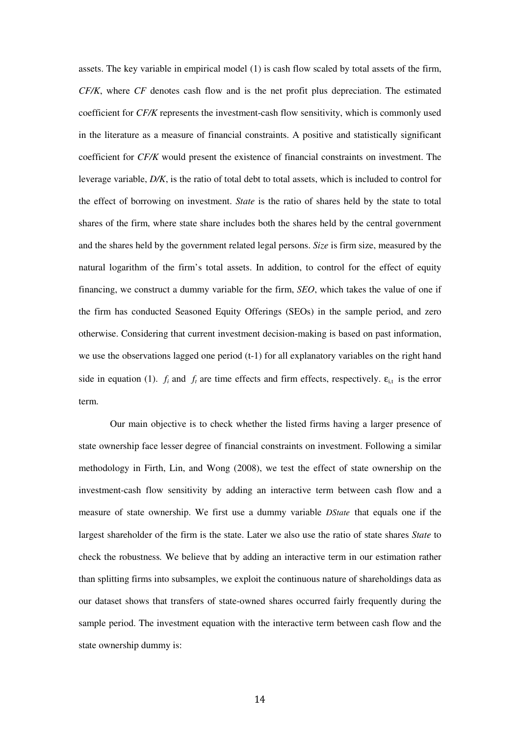assets. The key variable in empirical model (1) is cash flow scaled by total assets of the firm, *CF/K*, where *CF* denotes cash flow and is the net profit plus depreciation. The estimated coefficient for *CF/K* represents the investment-cash flow sensitivity, which is commonly used in the literature as a measure of financial constraints. A positive and statistically significant coefficient for *CF/K* would present the existence of financial constraints on investment. The leverage variable, *D/K*, is the ratio of total debt to total assets, which is included to control for the effect of borrowing on investment. *State* is the ratio of shares held by the state to total shares of the firm, where state share includes both the shares held by the central government and the shares held by the government related legal persons. *Size* is firm size, measured by the natural logarithm of the firm's total assets. In addition, to control for the effect of equity financing, we construct a dummy variable for the firm, *SEO*, which takes the value of one if the firm has conducted Seasoned Equity Offerings (SEOs) in the sample period, and zero otherwise. Considering that current investment decision-making is based on past information, we use the observations lagged one period (t-1) for all explanatory variables on the right hand side in equation (1).  $f_i$  and  $f_t$  are time effects and firm effects, respectively.  $\varepsilon_{i,t}$  is the error term.

Our main objective is to check whether the listed firms having a larger presence of state ownership face lesser degree of financial constraints on investment. Following a similar methodology in Firth, Lin, and Wong (2008), we test the effect of state ownership on the investment-cash flow sensitivity by adding an interactive term between cash flow and a measure of state ownership. We first use a dummy variable *DState* that equals one if the largest shareholder of the firm is the state. Later we also use the ratio of state shares *State* to check the robustness*.* We believe that by adding an interactive term in our estimation rather than splitting firms into subsamples, we exploit the continuous nature of shareholdings data as our dataset shows that transfers of state-owned shares occurred fairly frequently during the sample period. The investment equation with the interactive term between cash flow and the state ownership dummy is: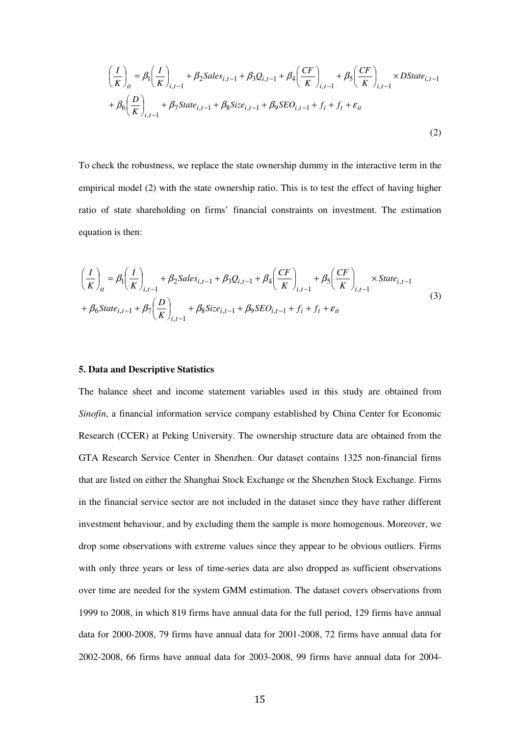$$
\left(\frac{I}{K}\right)_{it} = \beta_1 \left(\frac{I}{K}\right)_{i,t-1} + \beta_2 Sales_{i,t-1} + \beta_3 Q_{i,t-1} + \beta_4 \left(\frac{CF}{K}\right)_{i,t-1} + \beta_5 \left(\frac{CF}{K}\right)_{i,t-1} \times DState_{i,t-1} + \beta_6 \left(\frac{D}{K}\right)_{i,t-1} + \beta_7 State_{i,t-1} + \beta_8 Size_{i,t-1} + \beta_9 SEO_{i,t-1} + f_i + f_t + \varepsilon_{it}
$$
\n(2)

To check the robustness, we replace the state ownership dummy in the interactive term in the empirical model (2) with the state ownership ratio. This is to test the effect of having higher ratio of state shareholding on firms' financial constraints on investment. The estimation equation is then:

$$
\left(\frac{I}{K}\right)_{it} = \beta_1 \left(\frac{I}{K}\right)_{i,t-1} + \beta_2 Sales_{i,t-1} + \beta_3 Q_{i,t-1} + \beta_4 \left(\frac{CF}{K}\right)_{i,t-1} + \beta_5 \left(\frac{CF}{K}\right)_{i,t-1} \times State_{i,t-1} + \beta_6 State_{i,t-1} + \beta_7 \left(\frac{D}{K}\right)_{i,t-1} + \beta_8 Size_{i,t-1} + \beta_9 SEO_{i,t-1} + f_i + f_t + \varepsilon_{it}
$$
\n(3)

#### **5. Data and Descriptive Statistics**

The balance sheet and income statement variables used in this study are obtained from *Sinofin*, a financial information service company established by China Center for Economic Research (CCER) at Peking University. The ownership structure data are obtained from the GTA Research Service Center in Shenzhen. Our dataset contains 1325 non-financial firms that are listed on either the Shanghai Stock Exchange or the Shenzhen Stock Exchange. Firms in the financial service sector are not included in the dataset since they have rather different investment behaviour, and by excluding them the sample is more homogenous. Moreover, we drop some observations with extreme values since they appear to be obvious outliers. Firms with only three years or less of time-series data are also dropped as sufficient observations over time are needed for the system GMM estimation. The dataset covers observations from 1999 to 2008, in which 819 firms have annual data for the full period, 129 firms have annual data for 2000-2008, 79 firms have annual data for 2001-2008, 72 firms have annual data for 2002-2008, 66 firms have annual data for 2003-2008, 99 firms have annual data for 2004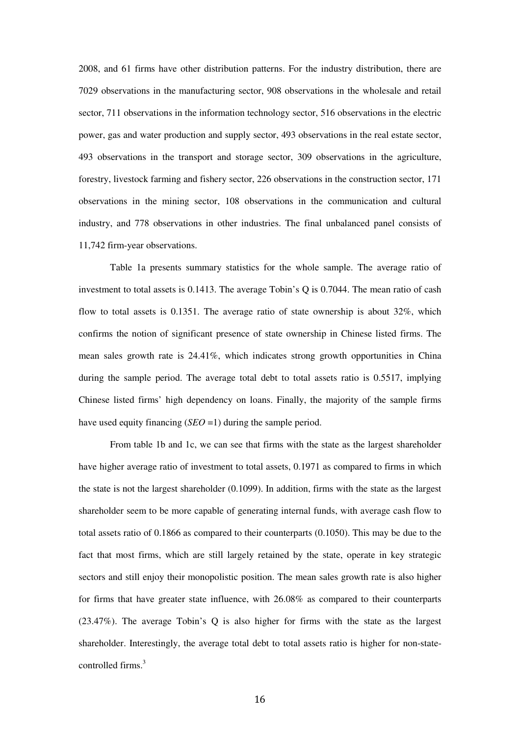2008, and 61 firms have other distribution patterns. For the industry distribution, there are 7029 observations in the manufacturing sector, 908 observations in the wholesale and retail sector, 711 observations in the information technology sector, 516 observations in the electric power, gas and water production and supply sector, 493 observations in the real estate sector, 493 observations in the transport and storage sector, 309 observations in the agriculture, forestry, livestock farming and fishery sector, 226 observations in the construction sector, 171 observations in the mining sector, 108 observations in the communication and cultural industry, and 778 observations in other industries. The final unbalanced panel consists of 11,742 firm-year observations.

Table 1a presents summary statistics for the whole sample. The average ratio of investment to total assets is 0.1413. The average Tobin's Q is 0.7044. The mean ratio of cash flow to total assets is 0.1351. The average ratio of state ownership is about  $32\%$ , which confirms the notion of significant presence of state ownership in Chinese listed firms. The mean sales growth rate is 24.41%, which indicates strong growth opportunities in China during the sample period. The average total debt to total assets ratio is 0.5517, implying Chinese listed firms' high dependency on loans. Finally, the majority of the sample firms have used equity financing (*SEO* = 1) during the sample period.

From table 1b and 1c, we can see that firms with the state as the largest shareholder have higher average ratio of investment to total assets, 0.1971 as compared to firms in which the state is not the largest shareholder (0.1099). In addition, firms with the state as the largest shareholder seem to be more capable of generating internal funds, with average cash flow to total assets ratio of 0.1866 as compared to their counterparts (0.1050). This may be due to the fact that most firms, which are still largely retained by the state, operate in key strategic sectors and still enjoy their monopolistic position. The mean sales growth rate is also higher for firms that have greater state influence, with 26.08% as compared to their counterparts (23.47%). The average Tobin's Q is also higher for firms with the state as the largest shareholder. Interestingly, the average total debt to total assets ratio is higher for non-statecontrolled firms.<sup>3</sup>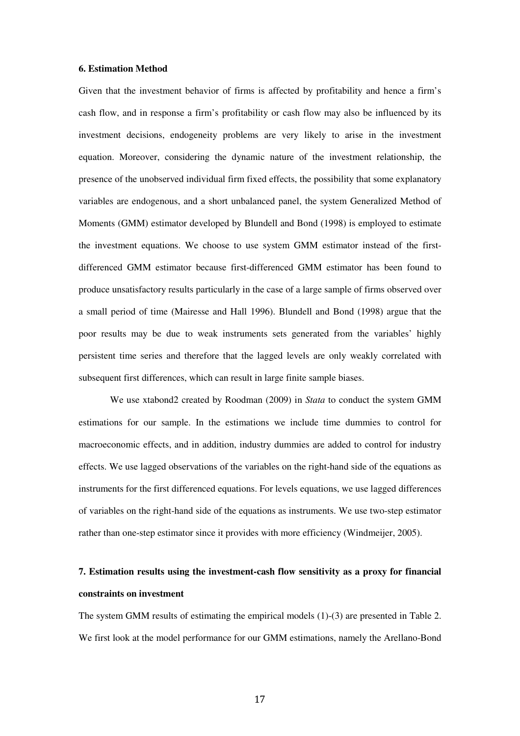#### **6. Estimation Method**

Given that the investment behavior of firms is affected by profitability and hence a firm's cash flow, and in response a firm's profitability or cash flow may also be influenced by its investment decisions, endogeneity problems are very likely to arise in the investment equation. Moreover, considering the dynamic nature of the investment relationship, the presence of the unobserved individual firm fixed effects, the possibility that some explanatory variables are endogenous, and a short unbalanced panel, the system Generalized Method of Moments (GMM) estimator developed by Blundell and Bond (1998) is employed to estimate the investment equations. We choose to use system GMM estimator instead of the firstdifferenced GMM estimator because first-differenced GMM estimator has been found to produce unsatisfactory results particularly in the case of a large sample of firms observed over a small period of time (Mairesse and Hall 1996). Blundell and Bond (1998) argue that the poor results may be due to weak instruments sets generated from the variables' highly persistent time series and therefore that the lagged levels are only weakly correlated with subsequent first differences, which can result in large finite sample biases.

We use xtabond2 created by Roodman (2009) in *Stata* to conduct the system GMM estimations for our sample. In the estimations we include time dummies to control for macroeconomic effects, and in addition, industry dummies are added to control for industry effects. We use lagged observations of the variables on the right-hand side of the equations as instruments for the first differenced equations. For levels equations, we use lagged differences of variables on the right-hand side of the equations as instruments. We use two-step estimator rather than one-step estimator since it provides with more efficiency (Windmeijer, 2005).

## **7. Estimation results using the investment-cash flow sensitivity as a proxy for financial constraints on investment**

The system GMM results of estimating the empirical models (1)-(3) are presented in Table 2. We first look at the model performance for our GMM estimations, namely the Arellano-Bond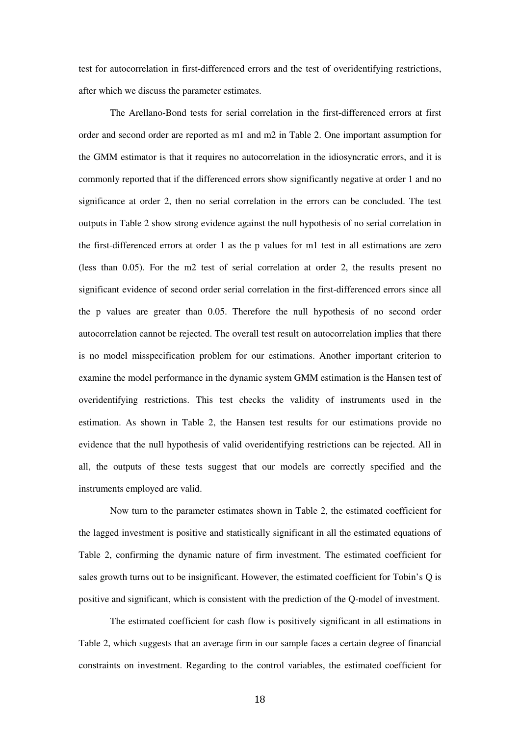test for autocorrelation in first-differenced errors and the test of overidentifying restrictions, after which we discuss the parameter estimates.

The Arellano-Bond tests for serial correlation in the first-differenced errors at first order and second order are reported as m1 and m2 in Table 2. One important assumption for the GMM estimator is that it requires no autocorrelation in the idiosyncratic errors, and it is commonly reported that if the differenced errors show significantly negative at order 1 and no significance at order 2, then no serial correlation in the errors can be concluded. The test outputs in Table 2 show strong evidence against the null hypothesis of no serial correlation in the first-differenced errors at order 1 as the p values for m1 test in all estimations are zero (less than 0.05). For the m2 test of serial correlation at order 2, the results present no significant evidence of second order serial correlation in the first-differenced errors since all the p values are greater than 0.05. Therefore the null hypothesis of no second order autocorrelation cannot be rejected. The overall test result on autocorrelation implies that there is no model misspecification problem for our estimations. Another important criterion to examine the model performance in the dynamic system GMM estimation is the Hansen test of overidentifying restrictions. This test checks the validity of instruments used in the estimation. As shown in Table 2, the Hansen test results for our estimations provide no evidence that the null hypothesis of valid overidentifying restrictions can be rejected. All in all, the outputs of these tests suggest that our models are correctly specified and the instruments employed are valid.

Now turn to the parameter estimates shown in Table 2, the estimated coefficient for the lagged investment is positive and statistically significant in all the estimated equations of Table 2, confirming the dynamic nature of firm investment. The estimated coefficient for sales growth turns out to be insignificant. However, the estimated coefficient for Tobin's Q is positive and significant, which is consistent with the prediction of the Q-model of investment.

The estimated coefficient for cash flow is positively significant in all estimations in Table 2, which suggests that an average firm in our sample faces a certain degree of financial constraints on investment. Regarding to the control variables, the estimated coefficient for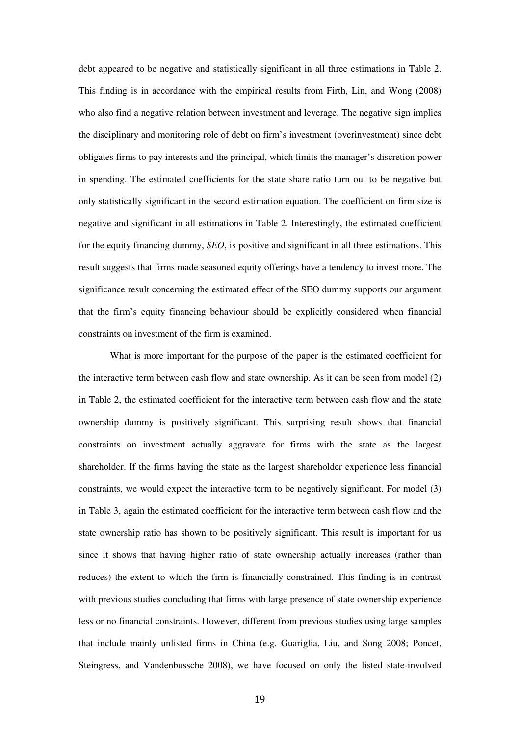debt appeared to be negative and statistically significant in all three estimations in Table 2. This finding is in accordance with the empirical results from Firth, Lin, and Wong (2008) who also find a negative relation between investment and leverage. The negative sign implies the disciplinary and monitoring role of debt on firm's investment (overinvestment) since debt obligates firms to pay interests and the principal, which limits the manager's discretion power in spending. The estimated coefficients for the state share ratio turn out to be negative but only statistically significant in the second estimation equation. The coefficient on firm size is negative and significant in all estimations in Table 2. Interestingly, the estimated coefficient for the equity financing dummy, *SEO*, is positive and significant in all three estimations. This result suggests that firms made seasoned equity offerings have a tendency to invest more. The significance result concerning the estimated effect of the SEO dummy supports our argument that the firm's equity financing behaviour should be explicitly considered when financial constraints on investment of the firm is examined.

What is more important for the purpose of the paper is the estimated coefficient for the interactive term between cash flow and state ownership. As it can be seen from model (2) in Table 2, the estimated coefficient for the interactive term between cash flow and the state ownership dummy is positively significant. This surprising result shows that financial constraints on investment actually aggravate for firms with the state as the largest shareholder. If the firms having the state as the largest shareholder experience less financial constraints, we would expect the interactive term to be negatively significant. For model (3) in Table 3, again the estimated coefficient for the interactive term between cash flow and the state ownership ratio has shown to be positively significant. This result is important for us since it shows that having higher ratio of state ownership actually increases (rather than reduces) the extent to which the firm is financially constrained. This finding is in contrast with previous studies concluding that firms with large presence of state ownership experience less or no financial constraints. However, different from previous studies using large samples that include mainly unlisted firms in China (e.g. Guariglia, Liu, and Song 2008; Poncet, Steingress, and Vandenbussche 2008), we have focused on only the listed state-involved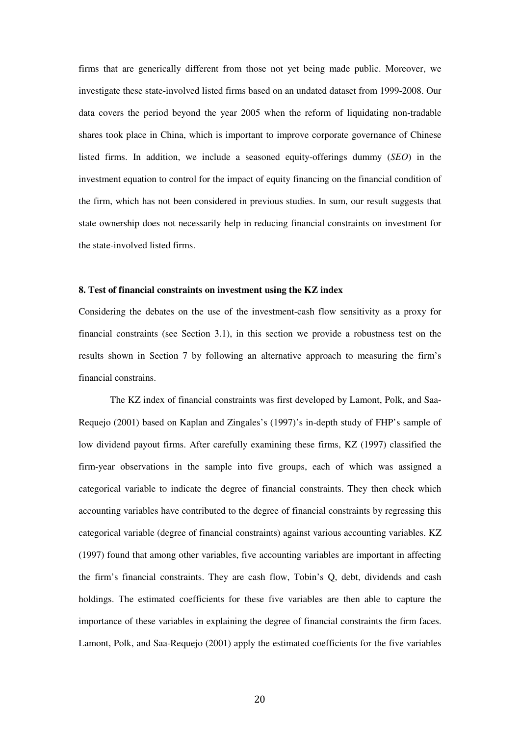firms that are generically different from those not yet being made public. Moreover, we investigate these state-involved listed firms based on an undated dataset from 1999-2008. Our data covers the period beyond the year 2005 when the reform of liquidating non-tradable shares took place in China, which is important to improve corporate governance of Chinese listed firms. In addition, we include a seasoned equity-offerings dummy (*SEO*) in the investment equation to control for the impact of equity financing on the financial condition of the firm, which has not been considered in previous studies. In sum, our result suggests that state ownership does not necessarily help in reducing financial constraints on investment for the state-involved listed firms.

## **8. Test of financial constraints on investment using the KZ index**

Considering the debates on the use of the investment-cash flow sensitivity as a proxy for financial constraints (see Section 3.1), in this section we provide a robustness test on the results shown in Section 7 by following an alternative approach to measuring the firm's financial constrains.

The KZ index of financial constraints was first developed by Lamont, Polk, and Saa-Requejo (2001) based on Kaplan and Zingales's (1997)'s in-depth study of FHP's sample of low dividend payout firms. After carefully examining these firms, KZ (1997) classified the firm-year observations in the sample into five groups, each of which was assigned a categorical variable to indicate the degree of financial constraints. They then check which accounting variables have contributed to the degree of financial constraints by regressing this categorical variable (degree of financial constraints) against various accounting variables. KZ (1997) found that among other variables, five accounting variables are important in affecting the firm's financial constraints. They are cash flow, Tobin's Q, debt, dividends and cash holdings. The estimated coefficients for these five variables are then able to capture the importance of these variables in explaining the degree of financial constraints the firm faces. Lamont, Polk, and Saa-Requejo (2001) apply the estimated coefficients for the five variables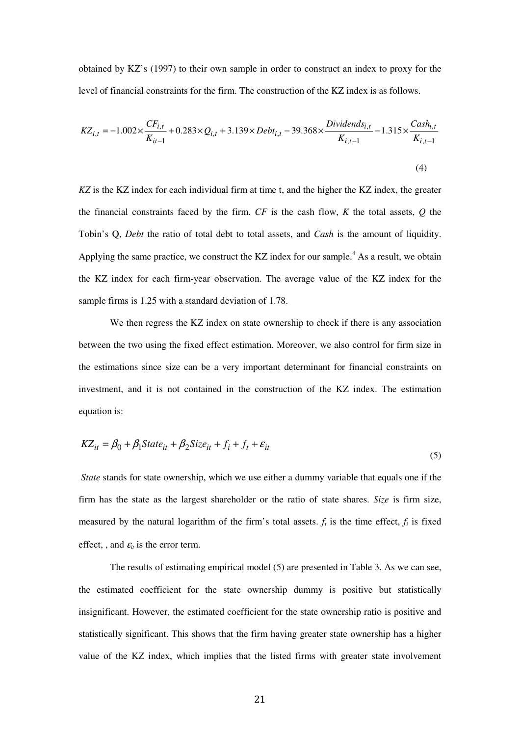obtained by KZ's (1997) to their own sample in order to construct an index to proxy for the level of financial constraints for the firm. The construction of the KZ index is as follows.

$$
KZ_{i,t} = -1.002 \times \frac{CF_{i,t}}{K_{it-1}} + 0.283 \times Q_{i,t} + 3.139 \times Debt_{i,t} - 39.368 \times \frac{Dividends_{i,t}}{K_{i,t-1}} - 1.315 \times \frac{Cash_{i,t}}{K_{i,t-1}}
$$
\n(4)

*KZ* is the KZ index for each individual firm at time t, and the higher the KZ index, the greater the financial constraints faced by the firm. *CF* is the cash flow, *K* the total assets, *Q* the Tobin's Q, *Debt* the ratio of total debt to total assets, and *Cash* is the amount of liquidity. Applying the same practice, we construct the KZ index for our sample.<sup>4</sup> As a result, we obtain the KZ index for each firm-year observation. The average value of the KZ index for the sample firms is 1.25 with a standard deviation of 1.78.

We then regress the KZ index on state ownership to check if there is any association between the two using the fixed effect estimation. Moreover, we also control for firm size in the estimations since size can be a very important determinant for financial constraints on investment, and it is not contained in the construction of the KZ index. The estimation equation is:

$$
KZ_{it} = \beta_0 + \beta_1 State_{it} + \beta_2 Size_{it} + f_i + f_t + \varepsilon_{it}
$$
\n
$$
\tag{5}
$$

 *State* stands for state ownership, which we use either a dummy variable that equals one if the firm has the state as the largest shareholder or the ratio of state shares. *Size* is firm size, measured by the natural logarithm of the firm's total assets.  $f_t$  is the time effect,  $f_i$  is fixed effect, , and  $\varepsilon_{it}$  is the error term.

The results of estimating empirical model (5) are presented in Table 3. As we can see, the estimated coefficient for the state ownership dummy is positive but statistically insignificant. However, the estimated coefficient for the state ownership ratio is positive and statistically significant. This shows that the firm having greater state ownership has a higher value of the KZ index, which implies that the listed firms with greater state involvement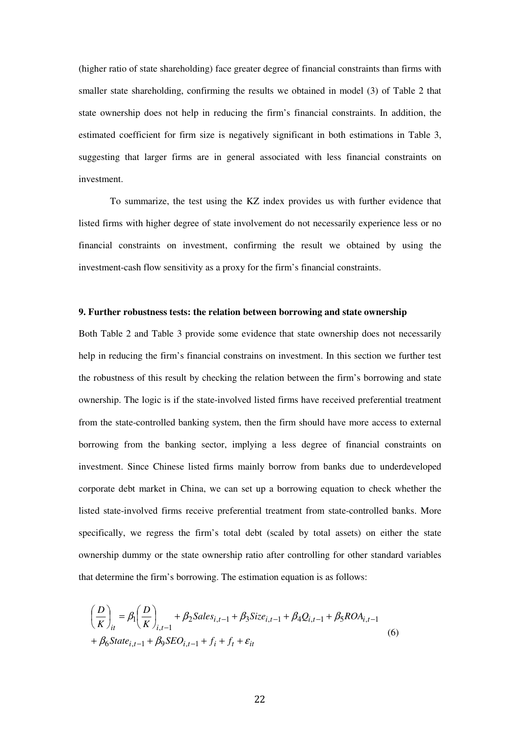(higher ratio of state shareholding) face greater degree of financial constraints than firms with smaller state shareholding, confirming the results we obtained in model (3) of Table 2 that state ownership does not help in reducing the firm's financial constraints. In addition, the estimated coefficient for firm size is negatively significant in both estimations in Table 3, suggesting that larger firms are in general associated with less financial constraints on investment.

To summarize, the test using the KZ index provides us with further evidence that listed firms with higher degree of state involvement do not necessarily experience less or no financial constraints on investment, confirming the result we obtained by using the investment-cash flow sensitivity as a proxy for the firm's financial constraints.

## **9. Further robustness tests: the relation between borrowing and state ownership**

Both Table 2 and Table 3 provide some evidence that state ownership does not necessarily help in reducing the firm's financial constrains on investment. In this section we further test the robustness of this result by checking the relation between the firm's borrowing and state ownership. The logic is if the state-involved listed firms have received preferential treatment from the state-controlled banking system, then the firm should have more access to external borrowing from the banking sector, implying a less degree of financial constraints on investment. Since Chinese listed firms mainly borrow from banks due to underdeveloped corporate debt market in China, we can set up a borrowing equation to check whether the listed state-involved firms receive preferential treatment from state-controlled banks. More specifically, we regress the firm's total debt (scaled by total assets) on either the state ownership dummy or the state ownership ratio after controlling for other standard variables that determine the firm's borrowing. The estimation equation is as follows:

$$
\left(\frac{D}{K}\right)_{it} = \beta_1 \left(\frac{D}{K}\right)_{i,t-1} + \beta_2 Sales_{i,t-1} + \beta_3 Size_{i,t-1} + \beta_4 Q_{i,t-1} + \beta_5 ROA_{i,t-1} \n+ \beta_6 State_{i,t-1} + \beta_9 SEO_{i,t-1} + f_i + f_t + \varepsilon_{it}
$$
\n(6)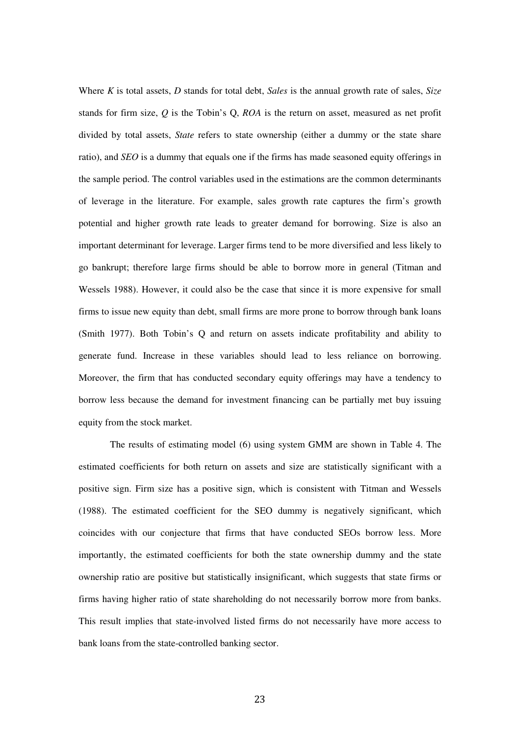Where *K* is total assets, *D* stands for total debt, *Sales* is the annual growth rate of sales, *Size* stands for firm size, *Q* is the Tobin's Q, *ROA* is the return on asset, measured as net profit divided by total assets, *State* refers to state ownership (either a dummy or the state share ratio), and *SEO* is a dummy that equals one if the firms has made seasoned equity offerings in the sample period. The control variables used in the estimations are the common determinants of leverage in the literature. For example, sales growth rate captures the firm's growth potential and higher growth rate leads to greater demand for borrowing. Size is also an important determinant for leverage. Larger firms tend to be more diversified and less likely to go bankrupt; therefore large firms should be able to borrow more in general (Titman and Wessels 1988). However, it could also be the case that since it is more expensive for small firms to issue new equity than debt, small firms are more prone to borrow through bank loans (Smith 1977). Both Tobin's Q and return on assets indicate profitability and ability to generate fund. Increase in these variables should lead to less reliance on borrowing. Moreover, the firm that has conducted secondary equity offerings may have a tendency to borrow less because the demand for investment financing can be partially met buy issuing equity from the stock market.

The results of estimating model (6) using system GMM are shown in Table 4. The estimated coefficients for both return on assets and size are statistically significant with a positive sign. Firm size has a positive sign, which is consistent with Titman and Wessels (1988). The estimated coefficient for the SEO dummy is negatively significant, which coincides with our conjecture that firms that have conducted SEOs borrow less. More importantly, the estimated coefficients for both the state ownership dummy and the state ownership ratio are positive but statistically insignificant, which suggests that state firms or firms having higher ratio of state shareholding do not necessarily borrow more from banks. This result implies that state-involved listed firms do not necessarily have more access to bank loans from the state-controlled banking sector.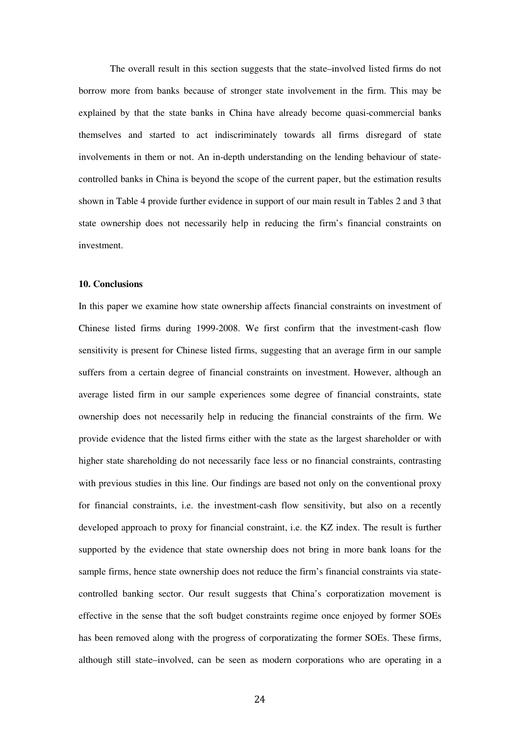The overall result in this section suggests that the state–involved listed firms do not borrow more from banks because of stronger state involvement in the firm. This may be explained by that the state banks in China have already become quasi-commercial banks themselves and started to act indiscriminately towards all firms disregard of state involvements in them or not. An in-depth understanding on the lending behaviour of statecontrolled banks in China is beyond the scope of the current paper, but the estimation results shown in Table 4 provide further evidence in support of our main result in Tables 2 and 3 that state ownership does not necessarily help in reducing the firm's financial constraints on investment.

#### **10. Conclusions**

In this paper we examine how state ownership affects financial constraints on investment of Chinese listed firms during 1999-2008. We first confirm that the investment-cash flow sensitivity is present for Chinese listed firms, suggesting that an average firm in our sample suffers from a certain degree of financial constraints on investment. However, although an average listed firm in our sample experiences some degree of financial constraints, state ownership does not necessarily help in reducing the financial constraints of the firm. We provide evidence that the listed firms either with the state as the largest shareholder or with higher state shareholding do not necessarily face less or no financial constraints, contrasting with previous studies in this line. Our findings are based not only on the conventional proxy for financial constraints, i.e. the investment-cash flow sensitivity, but also on a recently developed approach to proxy for financial constraint, i.e. the KZ index. The result is further supported by the evidence that state ownership does not bring in more bank loans for the sample firms, hence state ownership does not reduce the firm's financial constraints via statecontrolled banking sector. Our result suggests that China's corporatization movement is effective in the sense that the soft budget constraints regime once enjoyed by former SOEs has been removed along with the progress of corporatizating the former SOEs. These firms, although still state–involved, can be seen as modern corporations who are operating in a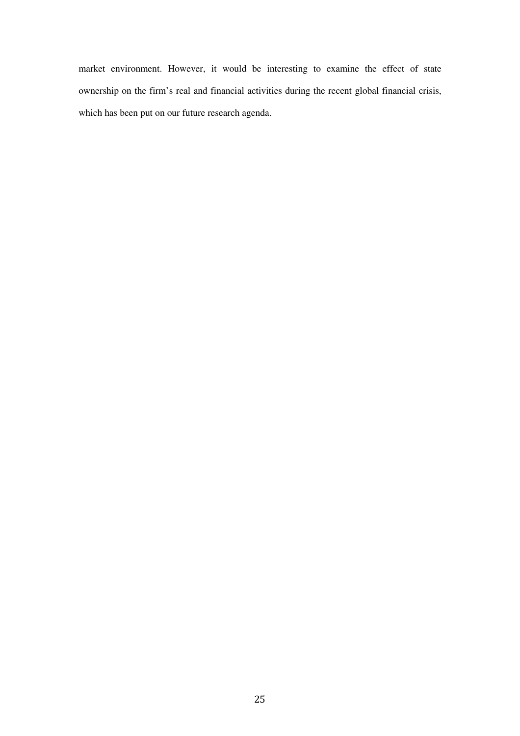market environment. However, it would be interesting to examine the effect of state ownership on the firm's real and financial activities during the recent global financial crisis, which has been put on our future research agenda.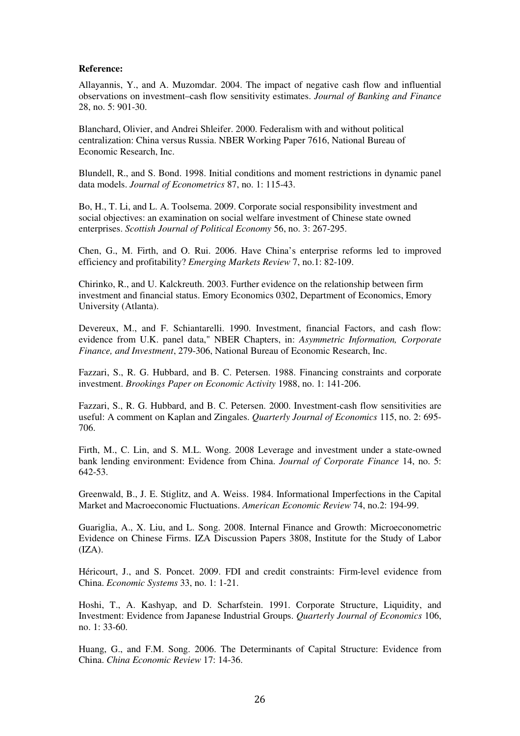## **Reference:**

Allayannis, Y., and A. Muzomdar. 2004. The impact of negative cash flow and influential observations on investment–cash flow sensitivity estimates. *Journal of Banking and Finance* 28, no. 5: 901-30.

Blanchard, Olivier, and Andrei Shleifer. 2000. Federalism with and without political centralization: China versus Russia. NBER Working Paper 7616, National Bureau of Economic Research, Inc.

Blundell, R., and S. Bond. 1998. Initial conditions and moment restrictions in dynamic panel data models. *Journal of Econometrics* 87, no. 1: 115-43.

Bo, H., T. Li, and L. A. Toolsema. 2009. Corporate social responsibility investment and social objectives: an examination on social welfare investment of Chinese state owned enterprises. *Scottish Journal of Political Economy* 56, no. 3: 267-295.

Chen, G., M. Firth, and O. Rui. 2006. Have China's enterprise reforms led to improved efficiency and profitability? *Emerging Markets Review* 7, no.1: 82-109.

Chirinko, R., and U. Kalckreuth. 2003. Further evidence on the relationship between firm investment and financial status. Emory Economics 0302, Department of Economics, Emory University (Atlanta).

Devereux, M., and F. Schiantarelli. 1990. Investment, financial Factors, and cash flow: evidence from U.K. panel data," NBER Chapters, in: *Asymmetric Information, Corporate Finance, and Investment*, 279-306, National Bureau of Economic Research, Inc.

Fazzari, S., R. G. Hubbard, and B. C. Petersen. 1988. Financing constraints and corporate investment. *Brookings Paper on Economic Activity* 1988, no. 1: 141-206.

Fazzari, S., R. G. Hubbard, and B. C. Petersen. 2000. Investment-cash flow sensitivities are useful: A comment on Kaplan and Zingales. *Quarterly Journal of Economics* 115, no. 2: 695- 706.

Firth, M., C. Lin, and S. M.L. Wong. 2008 Leverage and investment under a state-owned bank lending environment: Evidence from China. *Journal of Corporate Finance* 14, no. 5: 642-53.

Greenwald, B., J. E. Stiglitz, and A. Weiss. 1984. Informational Imperfections in the Capital Market and Macroeconomic Fluctuations. *American Economic Review* 74, no.2: 194-99.

Guariglia, A., X. Liu, and L. Song. 2008. Internal Finance and Growth: Microeconometric Evidence on Chinese Firms. IZA Discussion Papers 3808, Institute for the Study of Labor  $(IZA).$ 

Héricourt, J., and S. Poncet. 2009. FDI and credit constraints: Firm-level evidence from China. *Economic Systems* 33, no. 1: 1-21.

Hoshi, T., A. Kashyap, and D. Scharfstein. 1991. Corporate Structure, Liquidity, and Investment: Evidence from Japanese Industrial Groups. *Quarterly Journal of Economics* 106, no. 1: 33-60.

Huang, G., and F.M. Song. 2006. The Determinants of Capital Structure: Evidence from China. *China Economic Review* 17: 14-36.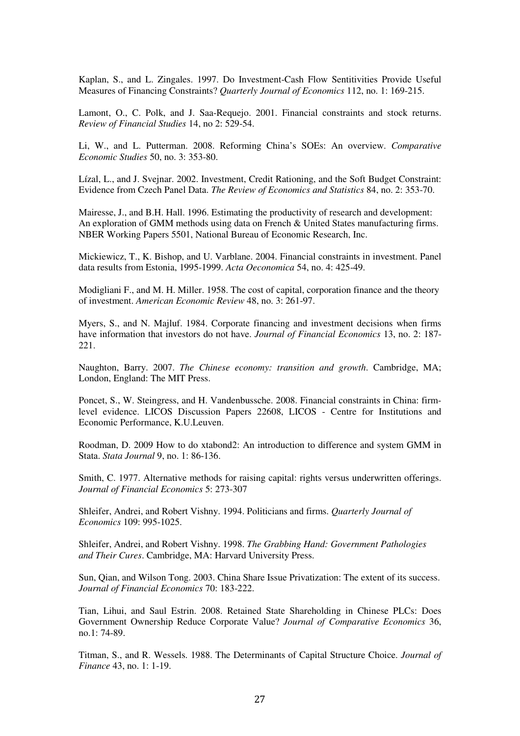Kaplan, S., and L. Zingales. 1997. Do Investment-Cash Flow Sentitivities Provide Useful Measures of Financing Constraints? *Quarterly Journal of Economics* 112, no. 1: 169-215.

Lamont, O., C. Polk, and J. Saa-Requejo. 2001. Financial constraints and stock returns. *Review of Financial Studies* 14, no 2: 529-54.

Li, W., and L. Putterman. 2008. Reforming China's SOEs: An overview. *Comparative Economic Studies* 50, no. 3: 353-80.

Lízal, L., and J. Svejnar. 2002. Investment, Credit Rationing, and the Soft Budget Constraint: Evidence from Czech Panel Data. *The Review of Economics and Statistics* 84, no. 2: 353-70.

Mairesse, J., and B.H. Hall. 1996. Estimating the productivity of research and development: An exploration of GMM methods using data on French & United States manufacturing firms. NBER Working Papers 5501, National Bureau of Economic Research, Inc.

Mickiewicz, T., K. Bishop, and U. Varblane. 2004. Financial constraints in investment. Panel data results from Estonia, 1995-1999. *Acta Oeconomica* 54, no. 4: 425-49.

Modigliani F., and M. H. Miller. 1958. The cost of capital, corporation finance and the theory of investment. *American Economic Review* 48, no. 3: 261-97.

Myers, S., and N. Majluf. 1984. Corporate financing and investment decisions when firms have information that investors do not have. *Journal of Financial Economics* 13, no. 2: 187- 221.

Naughton, Barry. 2007. *The Chinese economy: transition and growth*. Cambridge, MA; London, England: The MIT Press.

Poncet, S., W. Steingress, and H. Vandenbussche. 2008. Financial constraints in China: firmlevel evidence. LICOS Discussion Papers 22608, LICOS - Centre for Institutions and Economic Performance, K.U.Leuven.

Roodman, D. 2009 How to do xtabond2: An introduction to difference and system GMM in Stata. *Stata Journal* 9, no. 1: 86-136.

Smith, C. 1977. Alternative methods for raising capital: rights versus underwritten offerings. *Journal of Financial Economics* 5: 273-307

Shleifer, Andrei, and Robert Vishny. 1994. Politicians and firms. *Quarterly Journal of Economics* 109: 995-1025.

Shleifer, Andrei, and Robert Vishny. 1998. *The Grabbing Hand: Government Pathologies and Their Cures*. Cambridge, MA: Harvard University Press.

Sun, Qian, and Wilson Tong. 2003. China Share Issue Privatization: The extent of its success. *Journal of Financial Economics* 70: 183-222.

Tian, Lihui, and Saul Estrin. 2008. Retained State Shareholding in Chinese PLCs: Does Government Ownership Reduce Corporate Value? *Journal of Comparative Economics* 36, no.1: 74-89.

Titman, S., and R. Wessels. 1988. The Determinants of Capital Structure Choice. *Journal of Finance* 43, no. 1: 1-19.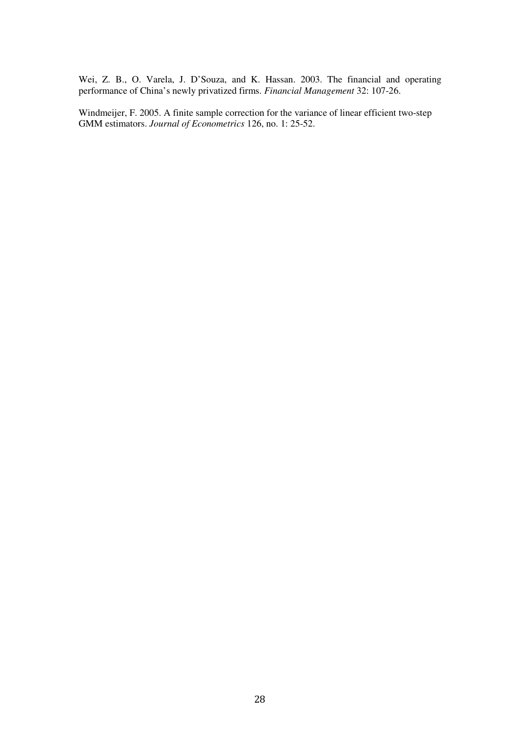Wei, Z. B., O. Varela, J. D'Souza, and K. Hassan. 2003. The financial and operating performance of China's newly privatized firms. *Financial Management* 32: 107-26.

Windmeijer, F. 2005. A finite sample correction for the variance of linear efficient two-step GMM estimators. *Journal of Econometrics* 126, no. 1: 25-52.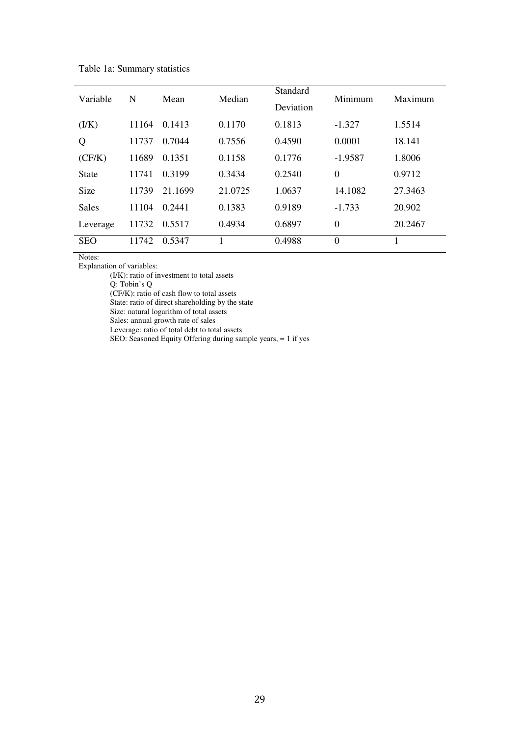| Variable     | N     | Mean    | Median  | Standard<br>Deviation | Minimum   | Maximum |
|--------------|-------|---------|---------|-----------------------|-----------|---------|
| (I/K)        | 11164 | 0.1413  | 0.1170  | 0.1813                | $-1.327$  | 1.5514  |
| Q            | 11737 | 0.7044  | 0.7556  | 0.4590                | 0.0001    | 18.141  |
| (CF/K)       | 11689 | 0.1351  | 0.1158  | 0.1776                | $-1.9587$ | 1.8006  |
| <b>State</b> | 11741 | 0.3199  | 0.3434  | 0.2540                | $\theta$  | 0.9712  |
| <b>Size</b>  | 11739 | 21.1699 | 21.0725 | 1.0637                | 14.1082   | 27.3463 |
| <b>Sales</b> | 11104 | 0.2441  | 0.1383  | 0.9189                | $-1.733$  | 20.902  |
| Leverage     | 11732 | 0.5517  | 0.4934  | 0.6897                | $\theta$  | 20.2467 |
| <b>SEO</b>   | 11742 | 0.5347  | 1       | 0.4988                | $\Omega$  | 1       |

Table 1a: Summary statistics

Explanation of variables:

(I/K): ratio of investment to total assets

Q: Tobin's Q

(CF/K): ratio of cash flow to total assets

State: ratio of direct shareholding by the state Size: natural logarithm of total assets

Sales: annual growth rate of sales

Leverage: ratio of total debt to total assets

SEO: Seasoned Equity Offering during sample years, = 1 if yes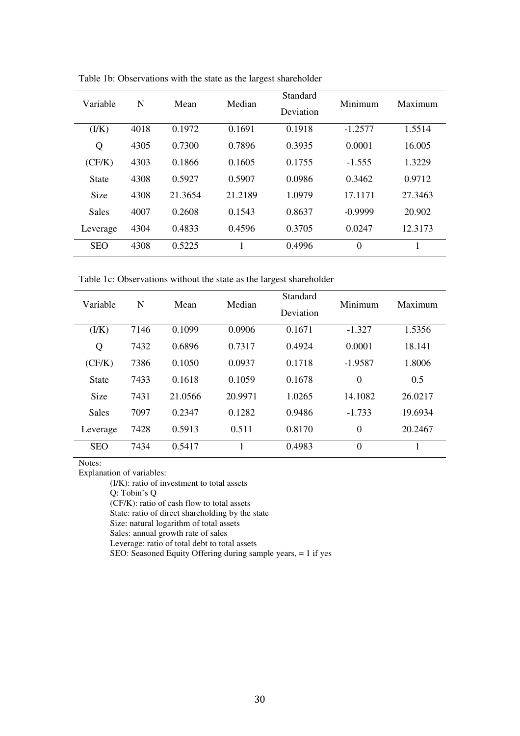| Variable      | N    | Mean    | Median  | Standard<br>Deviation | Minimum        | Maximum |
|---------------|------|---------|---------|-----------------------|----------------|---------|
| ( <i>lK</i> ) | 4018 | 0.1972  | 0.1691  | 0.1918                | $-1.2577$      | 1.5514  |
| Q             | 4305 | 0.7300  | 0.7896  | 0.3935                | 0.0001         | 16.005  |
| (CF/K)        | 4303 | 0.1866  | 0.1605  | 0.1755                | $-1.555$       | 1.3229  |
| <b>State</b>  | 4308 | 0.5927  | 0.5907  | 0.0986                | 0.3462         | 0.9712  |
| <b>Size</b>   | 4308 | 21.3654 | 21.2189 | 1.0979                | 17.1171        | 27.3463 |
| <b>Sales</b>  | 4007 | 0.2608  | 0.1543  | 0.8637                | $-0.9999$      | 20.902  |
| Leverage      | 4304 | 0.4833  | 0.4596  | 0.3705                | 0.0247         | 12.3173 |
| <b>SEO</b>    | 4308 | 0.5225  |         | 0.4996                | $\overline{0}$ |         |

Table 1b: Observations with the state as the largest shareholder

Table 1c: Observations without the state as the largest shareholder

| Variable      | N    | Mean    | Median  | Standard  | Minimum        | Maximum |
|---------------|------|---------|---------|-----------|----------------|---------|
|               |      |         |         | Deviation |                |         |
| ( <i>lK</i> ) | 7146 | 0.1099  | 0.0906  | 0.1671    | $-1.327$       | 1.5356  |
| Q             | 7432 | 0.6896  | 0.7317  | 0.4924    | 0.0001         | 18.141  |
| (CF/K)        | 7386 | 0.1050  | 0.0937  | 0.1718    | $-1.9587$      | 1.8006  |
| <b>State</b>  | 7433 | 0.1618  | 0.1059  | 0.1678    | $\overline{0}$ | 0.5     |
| <b>Size</b>   | 7431 | 21.0566 | 20.9971 | 1.0265    | 14.1082        | 26.0217 |
| <b>Sales</b>  | 7097 | 0.2347  | 0.1282  | 0.9486    | $-1.733$       | 19.6934 |
| Leverage      | 7428 | 0.5913  | 0.511   | 0.8170    | $\overline{0}$ | 20.2467 |
| <b>SEO</b>    | 7434 | 0.5417  |         | 0.4983    | $\overline{0}$ |         |

Explanation of variables:

(I/K): ratio of investment to total assets

Q: Tobin's Q

(CF/K): ratio of cash flow to total assets

State: ratio of direct shareholding by the state

Size: natural logarithm of total assets

Sales: annual growth rate of sales

Leverage: ratio of total debt to total assets

SEO: Seasoned Equity Offering during sample years, = 1 if yes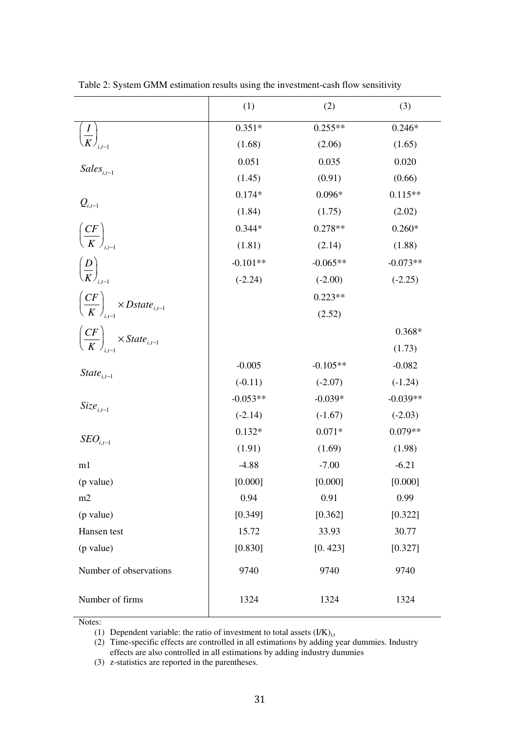|                                                               | (1)        | (2)        | (3)        |
|---------------------------------------------------------------|------------|------------|------------|
|                                                               | $0.351*$   | $0.255**$  | $0.246*$   |
| $\left(\frac{I}{K}\right)_{i,t=1}$                            | (1.68)     | (2.06)     | (1.65)     |
| $Sales_{i,t-1}$                                               | 0.051      | 0.035      | 0.020      |
|                                                               | (1.45)     | (0.91)     | (0.66)     |
|                                                               | $0.174*$   | $0.096*$   | $0.115**$  |
| $Q_{i,t-1}$                                                   | (1.84)     | (1.75)     | (2.02)     |
| $\left(\frac{CF}{K}\right)_{i,t-1}$                           | $0.344*$   | $0.278**$  | $0.260*$   |
|                                                               | (1.81)     | (2.14)     | (1.88)     |
| $\left(\frac{D}{K}\right)_{_{i,t=1}}$                         | $-0.101**$ | $-0.065**$ | $-0.073**$ |
|                                                               | $(-2.24)$  | $(-2.00)$  | $(-2.25)$  |
|                                                               |            | $0.223**$  |            |
| $\left(\frac{CF}{K}\right)_{i,t=1}$ × Dstate <sub>i,t-1</sub> |            | (2.52)     |            |
|                                                               |            |            | $0.368*$   |
| $\left(\frac{CF}{K}\right)_{i,t-1} \times State_{i,t-1}$      |            |            | (1.73)     |
|                                                               | $-0.005$   | $-0.105**$ | $-0.082$   |
| State <sub>i.t-1</sub>                                        | $(-0.11)$  | $(-2.07)$  | $(-1.24)$  |
| $Size_{i,t-1}$                                                | $-0.053**$ | $-0.039*$  | $-0.039**$ |
|                                                               | $(-2.14)$  | $(-1.67)$  | $(-2.03)$  |
| $\textit{SED}_{i.t-1}$                                        | $0.132*$   | $0.071*$   | $0.079**$  |
|                                                               | (1.91)     | (1.69)     | (1.98)     |
| m1                                                            | $-4.88$    | $-7.00$    | $-6.21$    |
| (p value)                                                     | [0.000]    | [0.000]    | [0.000]    |
| m2                                                            | 0.94       | 0.91       | 0.99       |
| (p value)                                                     | [0.349]    | [0.362]    | [0.322]    |
| Hansen test                                                   | 15.72      | 33.93      | 30.77      |
| (p value)                                                     | [0.830]    | [0.423]    | [0.327]    |
| Number of observations                                        | 9740       | 9740       | 9740       |
| Number of firms                                               | 1324       | 1324       | 1324       |

Table 2: System GMM estimation results using the investment-cash flow sensitivity

(1) Dependent variable: the ratio of investment to total assets  $(I/K)_{i,t}$ 

(2) Time-specific effects are controlled in all estimations by adding year dummies. Industry effects are also controlled in all estimations by adding industry dummies

(3) z-statistics are reported in the parentheses.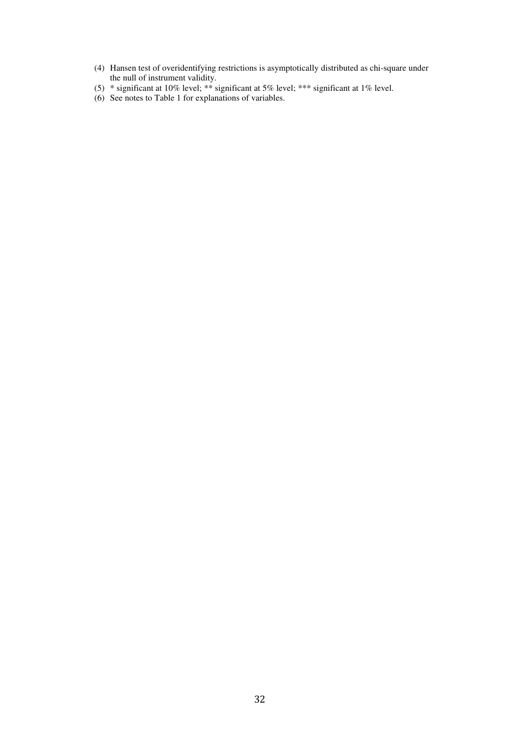- (4) Hansen test of overidentifying restrictions is asymptotically distributed as chi-square under the null of instrument validity.
- (5) \* significant at 10% level; \*\* significant at 5% level; \*\*\* significant at 1% level.
- (6) See notes to Table 1 for explanations of variables.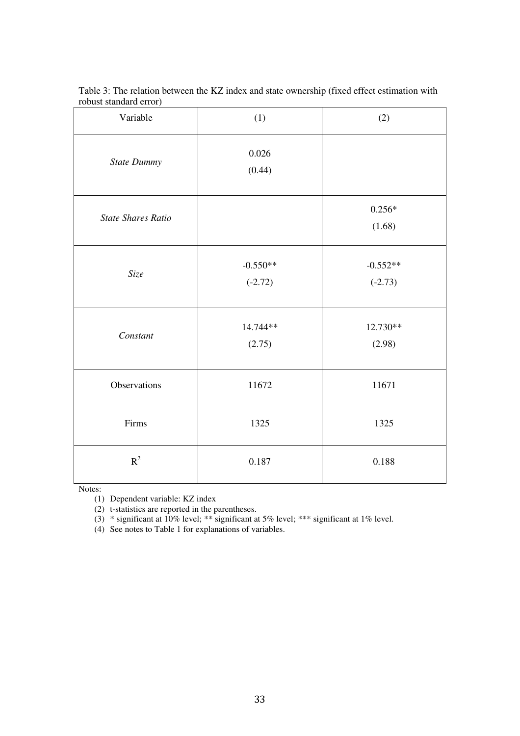| Variable                  | (1)                     | (2)                     |
|---------------------------|-------------------------|-------------------------|
| State Dummy               | 0.026<br>(0.44)         |                         |
| <b>State Shares Ratio</b> |                         | $0.256*$<br>(1.68)      |
| Size                      | $-0.550**$<br>$(-2.72)$ | $-0.552**$<br>$(-2.73)$ |
| Constant                  | 14.744**<br>(2.75)      | 12.730**<br>(2.98)      |
| Observations              | 11672                   | 11671                   |
| Firms                     | 1325                    | 1325                    |
| $\mathbb{R}^2$            | 0.187                   | 0.188                   |

Table 3: The relation between the KZ index and state ownership (fixed effect estimation with robust standard error)

(1) Dependent variable: KZ index

(2) t-statistics are reported in the parentheses.

 $(3)$  \* significant at 10% level; \*\*\* significant at 5% level; \*\*\* significant at 1% level.

(4) See notes to Table 1 for explanations of variables.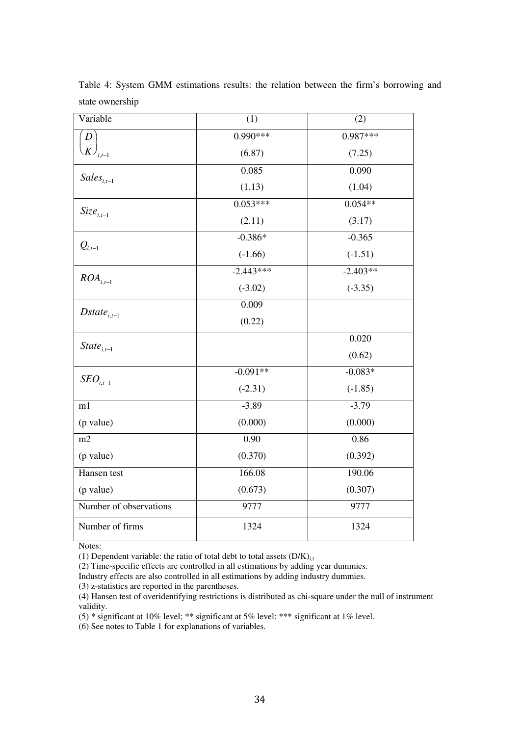| Variable                    | (1)         | (2)        |  |
|-----------------------------|-------------|------------|--|
| $\boldsymbol{D}$            | $0.990***$  | $0.987***$ |  |
| $\overline{K}\Big _{i,t-1}$ | (6.87)      | (7.25)     |  |
| $Sales_{i,t-1}$             | 0.085       | 0.090      |  |
|                             | (1.13)      | (1.04)     |  |
| $Size_{i,t-1}$              | $0.053***$  | $0.054**$  |  |
|                             | (2.11)      | (3.17)     |  |
|                             | $-0.386*$   | $-0.365$   |  |
| $Q_{i,t-1}$                 | $(-1.66)$   | $(-1.51)$  |  |
| $ROA_{i,t-1}$               | $-2.443***$ | $-2.403**$ |  |
|                             | $(-3.02)$   | $(-3.35)$  |  |
| $Dstate_{i,t-1}$            | 0.009       |            |  |
|                             | (0.22)      |            |  |
| $State_{i,t-1}$             |             | 0.020      |  |
|                             |             | (0.62)     |  |
| $\textit{SEO}_{i,t-1}$      | $-0.091**$  | $-0.083*$  |  |
|                             | $(-2.31)$   | $(-1.85)$  |  |
| m1                          | $-3.89$     | $-3.79$    |  |
| (p value)                   | (0.000)     | (0.000)    |  |
| m2                          | 0.90        | 0.86       |  |
| (p value)                   | (0.370)     | (0.392)    |  |
| Hansen test                 | 166.08      | 190.06     |  |
| (p value)                   | (0.673)     | (0.307)    |  |
| Number of observations      | 9777        | 9777       |  |
| Number of firms             | 1324        | 1324       |  |

Table 4: System GMM estimations results: the relation between the firm's borrowing and state ownership

(1) Dependent variable: the ratio of total debt to total assets  $(D/K)_{i,t}$ 

(2) Time-specific effects are controlled in all estimations by adding year dummies.

Industry effects are also controlled in all estimations by adding industry dummies.

(3) z-statistics are reported in the parentheses.

(4) Hansen test of overidentifying restrictions is distributed as chi-square under the null of instrument validity.

(5) \* significant at 10% level; \*\* significant at 5% level; \*\*\* significant at 1% level.

(6) See notes to Table 1 for explanations of variables.